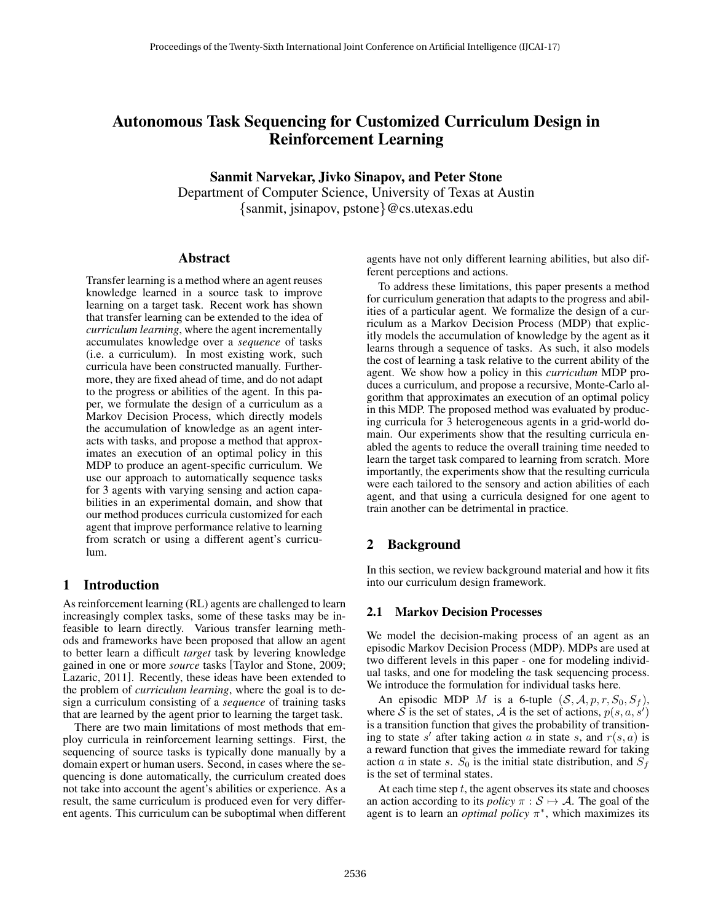# Autonomous Task Sequencing for Customized Curriculum Design in Reinforcement Learning

# Sanmit Narvekar, Jivko Sinapov, and Peter Stone

Department of Computer Science, University of Texas at Austin {sanmit, jsinapov, pstone}@cs.utexas.edu

# Abstract

Transfer learning is a method where an agent reuses knowledge learned in a source task to improve learning on a target task. Recent work has shown that transfer learning can be extended to the idea of *curriculum learning*, where the agent incrementally accumulates knowledge over a *sequence* of tasks (i.e. a curriculum). In most existing work, such curricula have been constructed manually. Furthermore, they are fixed ahead of time, and do not adapt to the progress or abilities of the agent. In this paper, we formulate the design of a curriculum as a Markov Decision Process, which directly models the accumulation of knowledge as an agent interacts with tasks, and propose a method that approximates an execution of an optimal policy in this MDP to produce an agent-specific curriculum. We use our approach to automatically sequence tasks for 3 agents with varying sensing and action capabilities in an experimental domain, and show that our method produces curricula customized for each agent that improve performance relative to learning from scratch or using a different agent's curriculum.

# 1 Introduction

As reinforcement learning (RL) agents are challenged to learn increasingly complex tasks, some of these tasks may be infeasible to learn directly. Various transfer learning methods and frameworks have been proposed that allow an agent to better learn a difficult *target* task by levering knowledge gained in one or more *source* tasks [Taylor and Stone, 2009; Lazaric, 2011]. Recently, these ideas have been extended to the problem of *curriculum learning*, where the goal is to design a curriculum consisting of a *sequence* of training tasks that are learned by the agent prior to learning the target task.

There are two main limitations of most methods that employ curricula in reinforcement learning settings. First, the sequencing of source tasks is typically done manually by a domain expert or human users. Second, in cases where the sequencing is done automatically, the curriculum created does not take into account the agent's abilities or experience. As a result, the same curriculum is produced even for very different agents. This curriculum can be suboptimal when different

agents have not only different learning abilities, but also different perceptions and actions.

To address these limitations, this paper presents a method for curriculum generation that adapts to the progress and abilities of a particular agent. We formalize the design of a curriculum as a Markov Decision Process (MDP) that explicitly models the accumulation of knowledge by the agent as it learns through a sequence of tasks. As such, it also models the cost of learning a task relative to the current ability of the agent. We show how a policy in this *curriculum* MDP produces a curriculum, and propose a recursive, Monte-Carlo algorithm that approximates an execution of an optimal policy in this MDP. The proposed method was evaluated by producing curricula for 3 heterogeneous agents in a grid-world domain. Our experiments show that the resulting curricula enabled the agents to reduce the overall training time needed to learn the target task compared to learning from scratch. More importantly, the experiments show that the resulting curricula were each tailored to the sensory and action abilities of each agent, and that using a curricula designed for one agent to train another can be detrimental in practice.

# 2 Background

In this section, we review background material and how it fits into our curriculum design framework.

#### 2.1 Markov Decision Processes

We model the decision-making process of an agent as an episodic Markov Decision Process (MDP). MDPs are used at two different levels in this paper - one for modeling individual tasks, and one for modeling the task sequencing process. We introduce the formulation for individual tasks here.

An episodic MDP M is a 6-tuple  $(S, \mathcal{A}, p, r, S_0, S_f)$ , where  $\vec{S}$  is the set of states,  $\vec{A}$  is the set of actions,  $p(s, a, s')$ is a transition function that gives the probability of transitioning to state s' after taking action a in state s, and  $r(s, a)$  is a reward function that gives the immediate reward for taking action a in state s.  $S_0$  is the initial state distribution, and  $S_f$ is the set of terminal states.

At each time step  $t$ , the agent observes its state and chooses an action according to its *policy*  $\pi : \mathcal{S} \mapsto \mathcal{A}$ . The goal of the agent is to learn an *optimal policy*  $\pi^*$ , which maximizes its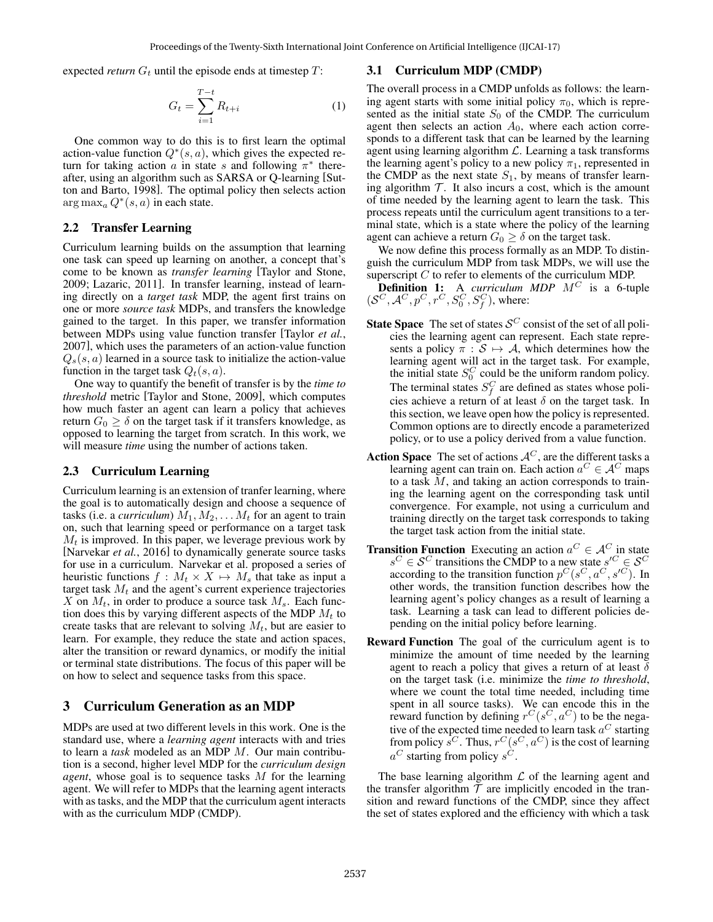expected *return*  $G_t$  until the episode ends at timestep  $T$ :

$$
G_t = \sum_{i=1}^{T-t} R_{t+i}
$$
 (1)

One common way to do this is to first learn the optimal action-value function  $Q^*(s, a)$ , which gives the expected return for taking action a in state s and following  $\pi^*$  thereafter, using an algorithm such as SARSA or Q-learning [Sutton and Barto, 1998]. The optimal policy then selects action  $\arg \max_a Q^*(s, a)$  in each state.

#### 2.2 Transfer Learning

Curriculum learning builds on the assumption that learning one task can speed up learning on another, a concept that's come to be known as *transfer learning* [Taylor and Stone, 2009; Lazaric, 2011]. In transfer learning, instead of learning directly on a *target task* MDP, the agent first trains on one or more *source task* MDPs, and transfers the knowledge gained to the target. In this paper, we transfer information between MDPs using value function transfer [Taylor *et al.*, 2007], which uses the parameters of an action-value function  $Q_s(s, a)$  learned in a source task to initialize the action-value function in the target task  $Q_t(s, a)$ .

One way to quantify the benefit of transfer is by the *time to threshold* metric [Taylor and Stone, 2009], which computes how much faster an agent can learn a policy that achieves return  $G_0 \ge \delta$  on the target task if it transfers knowledge, as opposed to learning the target from scratch. In this work, we will measure *time* using the number of actions taken.

## 2.3 Curriculum Learning

Curriculum learning is an extension of tranfer learning, where the goal is to automatically design and choose a sequence of tasks (i.e. a *curriculum*)  $M_1, M_2, \ldots, M_t$  for an agent to train on, such that learning speed or performance on a target task  $M_t$  is improved. In this paper, we leverage previous work by [Narvekar *et al.*, 2016] to dynamically generate source tasks for use in a curriculum. Narvekar et al. proposed a series of heuristic functions  $f : M_t \times X \mapsto M_s$  that take as input a target task  $M_t$  and the agent's current experience trajectories X on  $M_t$ , in order to produce a source task  $M_s$ . Each function does this by varying different aspects of the MDP  $M_t$  to create tasks that are relevant to solving  $M_t$ , but are easier to learn. For example, they reduce the state and action spaces, alter the transition or reward dynamics, or modify the initial or terminal state distributions. The focus of this paper will be on how to select and sequence tasks from this space.

## 3 Curriculum Generation as an MDP

MDPs are used at two different levels in this work. One is the standard use, where a *learning agent* interacts with and tries to learn a *task* modeled as an MDP M. Our main contribution is a second, higher level MDP for the *curriculum design agent*, whose goal is to sequence tasks M for the learning agent. We will refer to MDPs that the learning agent interacts with as tasks, and the MDP that the curriculum agent interacts with as the curriculum MDP (CMDP).

#### 3.1 Curriculum MDP (CMDP)

The overall process in a CMDP unfolds as follows: the learning agent starts with some initial policy  $\pi_0$ , which is represented as the initial state  $S_0$  of the CMDP. The curriculum agent then selects an action  $A_0$ , where each action corresponds to a different task that can be learned by the learning agent using learning algorithm  $\mathcal{L}$ . Learning a task transforms the learning agent's policy to a new policy  $\pi_1$ , represented in the CMDP as the next state  $S_1$ , by means of transfer learning algorithm  $T$ . It also incurs a cost, which is the amount of time needed by the learning agent to learn the task. This process repeats until the curriculum agent transitions to a terminal state, which is a state where the policy of the learning agent can achieve a return  $G_0 \ge \delta$  on the target task.

We now define this process formally as an MDP. To distinguish the curriculum MDP from task MDPs, we will use the superscript  $C$  to refer to elements of the curriculum MDP.

**Definition 1:** A *curriculum MDP*  $M^C$  is a 6-tuple  $(S^C, A^C, p^C, r^C, S_0^C, S_f^C)$ , where:

- **State Space** The set of states  $\mathcal{S}^C$  consist of the set of all policies the learning agent can represent. Each state represents a policy  $\pi : \mathcal{S} \mapsto \mathcal{A}$ , which determines how the learning agent will act in the target task. For example, the initial state  $S_0^C$  could be the uniform random policy. The terminal states  $S_f^C$  are defined as states whose policies achieve a return of at least  $\delta$  on the target task. In this section, we leave open how the policy is represented. Common options are to directly encode a parameterized policy, or to use a policy derived from a value function.
- **Action Space** The set of actions  $A^C$ , are the different tasks a learning agent can train on. Each action  $a^C \in \mathcal{A}^C$  maps to a task M, and taking an action corresponds to training the learning agent on the corresponding task until convergence. For example, not using a curriculum and training directly on the target task corresponds to taking the target task action from the initial state.
- **Transition Function** Executing an action  $a^C \in A^C$  in state  $s^C \in \mathcal{S}^C$  transitions the CMDP to a new state  $s'^C \in \mathcal{S}^C$ according to the transition function  $p^C(s^C, a^C, s'^C)$ . In other words, the transition function describes how the learning agent's policy changes as a result of learning a task. Learning a task can lead to different policies depending on the initial policy before learning.
- Reward Function The goal of the curriculum agent is to minimize the amount of time needed by the learning agent to reach a policy that gives a return of at least  $\delta$ on the target task (i.e. minimize the *time to threshold*, where we count the total time needed, including time spent in all source tasks). We can encode this in the reward function by defining  $r^C(s^C, a^C)$  to be the negative of the expected time needed to learn task  $a^C$  starting from policy  $\tilde{s}^C$ . Thus,  $r^C(s^C, a^C)$  is the cost of learning  $a^C$  starting from policy  $s^C$ .

The base learning algorithm  $\mathcal L$  of the learning agent and the transfer algorithm  $T$  are implicitly encoded in the transition and reward functions of the CMDP, since they affect the set of states explored and the efficiency with which a task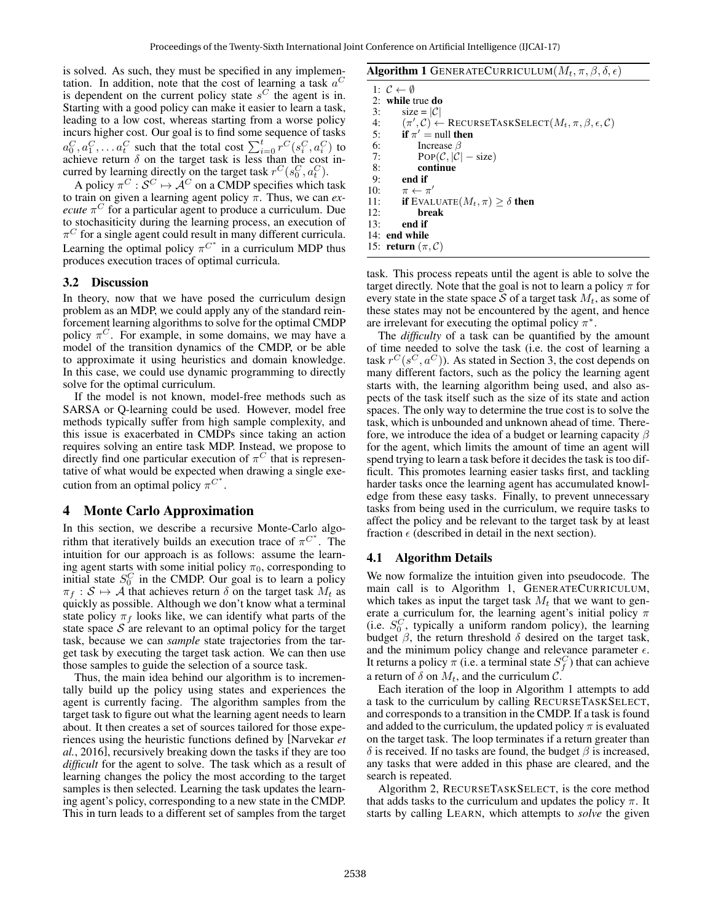is solved. As such, they must be specified in any implementation. In addition, note that the cost of learning a task  $a^C$ is dependent on the current policy state  $s^C$  the agent is in. Starting with a good policy can make it easier to learn a task, leading to a low cost, whereas starting from a worse policy incurs higher cost. Our goal is to find some sequence of tasks  $a_0^C, a_1^C, \ldots, a_t^C$  such that the total cost  $\sum_{i=0}^t r^C(s_i^C, a_i^C)$  to achieve return  $\delta$  on the target task is less than the cost incurred by learning directly on the target task  $r^C(s_0^C, a_t^C)$ .

A policy  $\pi^C : \mathcal{S}^C \mapsto \mathcal{A}^C$  on a CMDP specifies which task to train on given a learning agent policy π. Thus, we can *execute*  $\pi$ <sup>*C*</sup> for a particular agent to produce a curriculum. Due to stochasiticity during the learning process, an execution of  $\pi^C$  for a single agent could result in many different curricula. Learning the optimal policy  $\pi^{C^*}$  in a curriculum MDP thus produces execution traces of optimal curricula.

#### 3.2 Discussion

In theory, now that we have posed the curriculum design problem as an MDP, we could apply any of the standard reinforcement learning algorithms to solve for the optimal CMDP policy  $\pi^C$ . For example, in some domains, we may have a model of the transition dynamics of the CMDP, or be able to approximate it using heuristics and domain knowledge. In this case, we could use dynamic programming to directly solve for the optimal curriculum.

If the model is not known, model-free methods such as SARSA or Q-learning could be used. However, model free methods typically suffer from high sample complexity, and this issue is exacerbated in CMDPs since taking an action requires solving an entire task MDP. Instead, we propose to directly find one particular execution of  $\pi$ <sup>C</sup> that is representative of what would be expected when drawing a single execution from an optimal policy  $\pi^{C^*}$ .

# 4 Monte Carlo Approximation

In this section, we describe a recursive Monte-Carlo algorithm that iteratively builds an execution trace of  $\pi^{C^*}$ . The intuition for our approach is as follows: assume the learning agent starts with some initial policy  $\pi_0$ , corresponding to initial state  $S_0^C$  in the CMDP. Our goal is to learn a policy  $\pi_f : \mathcal{S} \mapsto \mathcal{A}$  that achieves return  $\delta$  on the target task  $M_t$  as quickly as possible. Although we don't know what a terminal state policy  $\pi_f$  looks like, we can identify what parts of the state space  $S$  are relevant to an optimal policy for the target task, because we can *sample* state trajectories from the target task by executing the target task action. We can then use those samples to guide the selection of a source task.

Thus, the main idea behind our algorithm is to incrementally build up the policy using states and experiences the agent is currently facing. The algorithm samples from the target task to figure out what the learning agent needs to learn about. It then creates a set of sources tailored for those experiences using the heuristic functions defined by [Narvekar *et al.*, 2016], recursively breaking down the tasks if they are too *difficult* for the agent to solve. The task which as a result of learning changes the policy the most according to the target samples is then selected. Learning the task updates the learning agent's policy, corresponding to a new state in the CMDP. This in turn leads to a different set of samples from the target

| <b>Algorithm 1</b> GENERATECURRICULUM $(M_t, \pi, \beta, \delta, \epsilon)$ |  |  |  |  |
|-----------------------------------------------------------------------------|--|--|--|--|
|-----------------------------------------------------------------------------|--|--|--|--|

1:  $C \leftarrow \emptyset$ 2: while true do 3:  $\text{size} = |\mathcal{C}|$ <br>4:  $(\pi', \mathcal{C}) \leftarrow$ 4:  $(\pi', \mathcal{C}) \leftarrow \text{RECURSETaskSELECT}(M_t, \pi, \beta, \epsilon, \mathcal{C})$ 5: if  $\pi'$  = null then 6: Increase  $\beta$ 7: POP $(\mathcal{C}, |\mathcal{C}| - \text{size})$ 8: continue<br>9: end if 9: **end if**<br>10:  $\pi \leftarrow \pi$ 10:  $\pi \leftarrow \pi'$ 11: **if** EVALUATE $(M_t, \pi) \geq \delta$  then 12: break 13: end if 14: end while 15: return  $(\pi, C)$ 

task. This process repeats until the agent is able to solve the target directly. Note that the goal is not to learn a policy  $\pi$  for every state in the state space S of a target task  $M_t$ , as some of these states may not be encountered by the agent, and hence are irrelevant for executing the optimal policy  $\pi^*$ .

The *difficulty* of a task can be quantified by the amount of time needed to solve the task (i.e. the cost of learning a task  $r^C(s^C, a^C)$ ). As stated in Section 3, the cost depends on many different factors, such as the policy the learning agent starts with, the learning algorithm being used, and also aspects of the task itself such as the size of its state and action spaces. The only way to determine the true cost is to solve the task, which is unbounded and unknown ahead of time. Therefore, we introduce the idea of a budget or learning capacity  $\beta$ for the agent, which limits the amount of time an agent will spend trying to learn a task before it decides the task is too difficult. This promotes learning easier tasks first, and tackling harder tasks once the learning agent has accumulated knowledge from these easy tasks. Finally, to prevent unnecessary tasks from being used in the curriculum, we require tasks to affect the policy and be relevant to the target task by at least fraction  $\epsilon$  (described in detail in the next section).

# 4.1 Algorithm Details

We now formalize the intuition given into pseudocode. The main call is to Algorithm 1, GENERATECURRICULUM, which takes as input the target task  $M_t$  that we want to generate a curriculum for, the learning agent's initial policy  $\pi$ (i.e.  $S_0^C$ , typically a uniform random policy), the learning budget  $β$ , the return threshold  $δ$  desired on the target task, and the minimum policy change and relevance parameter  $\epsilon$ . It returns a policy  $\pi$  (i.e. a terminal state  $S_f^C$ ) that can achieve a return of  $\delta$  on  $M_t$ , and the curriculum C.

Each iteration of the loop in Algorithm 1 attempts to add a task to the curriculum by calling RECURSETASKSELECT, and corresponds to a transition in the CMDP. If a task is found and added to the curriculum, the updated policy  $\pi$  is evaluated on the target task. The loop terminates if a return greater than δ is received. If no tasks are found, the budget  $β$  is increased, any tasks that were added in this phase are cleared, and the search is repeated.

Algorithm 2, RECURSETASKSELECT, is the core method that adds tasks to the curriculum and updates the policy  $\pi$ . It starts by calling LEARN, which attempts to *solve* the given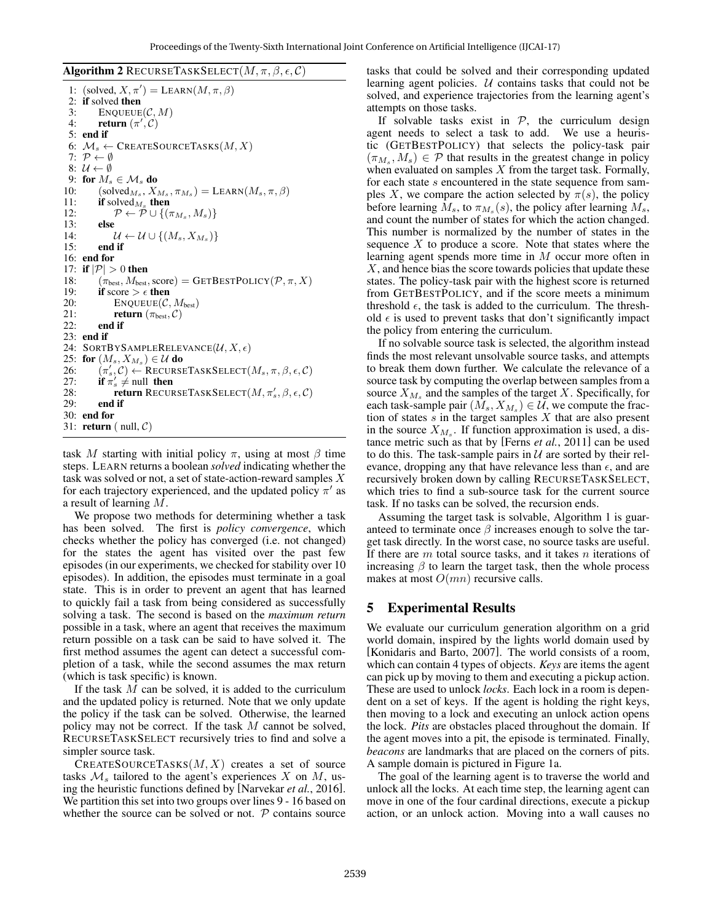**Algorithm 2** RECURSETASKSELECT $(M, \pi, \beta, \epsilon, C)$ 

1: (solved,  $X, \pi'$ ) = LEARN( $M, \pi, \beta$ ) 2: if solved then 3: ENQUEUE $(C, M)$ 4: **return**  $(\pi', \mathcal{C})$ 5: end if 6:  $M_s \leftarrow$  CREATESOURCETASKS $(M, X)$ 7:  $\mathcal{P} \leftarrow \emptyset$ 8:  $\mathcal{U} \leftarrow \emptyset$ 9: for  $M_s \in \mathcal{M}_s$  do<br>10: (solved<sub>M<sub>c</sub>, X<sub>i</sub></sub> 10:  $(\text{solved}_{M_s}, X_{M_s}, \pi_{M_s}) = \text{LEARN}(M_s, \pi, \beta)$ 11: **if** solved<sub>Ms</sub> then 12:  $\mathcal{P} \leftarrow \mathcal{P} \cup \{(\pi_{M_s}, M_s)\}\$ 13: **else**<br>14: 14:  $\mathcal{U} \leftarrow \mathcal{U} \cup \{(M_s, X_{M_s})\}$ 15: end if 16: end for 17: if  $|\mathcal{P}| > 0$  then 18:  $(\pi_{\text{best}}, M_{\text{best}}, \text{score}) = \text{GETBestPOLICY}(\mathcal{P}, \pi, X)$ 19: if score  $> \epsilon$  then 20: ENQUEUE $(C, M_{best})$ <br>21: **return** ( $\pi_{best}$ , C) 21: **return**  $(\pi_{best}, C)$ <br>22: **end if** end if 23: end if 24: SORTBYSAMPLERELEVANCE $(\mathcal{U}, X, \epsilon)$ 25: for  $(M_s, X_{M_s}) \in \mathcal{U}$  do 26:  $(\pi_s', \mathcal{C}) \leftarrow \text{RECURSETASKSELECT}(M_s, \pi, \beta, \epsilon, \mathcal{C})$ 27: if  $\pi'_s \neq$  null then 28: return RECURSETASKSELECT $(M, \pi_s', \beta, \epsilon, C)$ 29: end if 30: end for 31: **return** ( null,  $C$ )

task M starting with initial policy  $\pi$ , using at most  $\beta$  time steps. LEARN returns a boolean *solved* indicating whether the task was solved or not, a set of state-action-reward samples  $X$ for each trajectory experienced, and the updated policy  $\pi'$  as a result of learning M.

We propose two methods for determining whether a task has been solved. The first is *policy convergence*, which checks whether the policy has converged (i.e. not changed) for the states the agent has visited over the past few episodes (in our experiments, we checked for stability over 10 episodes). In addition, the episodes must terminate in a goal state. This is in order to prevent an agent that has learned to quickly fail a task from being considered as successfully solving a task. The second is based on the *maximum return* possible in a task, where an agent that receives the maximum return possible on a task can be said to have solved it. The first method assumes the agent can detect a successful completion of a task, while the second assumes the max return (which is task specific) is known.

If the task  $M$  can be solved, it is added to the curriculum and the updated policy is returned. Note that we only update the policy if the task can be solved. Otherwise, the learned policy may not be correct. If the task M cannot be solved, RECURSETASKSELECT recursively tries to find and solve a simpler source task.

CREATESOURCETASKS $(M, X)$  creates a set of source tasks  $\mathcal{M}_s$  tailored to the agent's experiences X on M, using the heuristic functions defined by [Narvekar *et al.*, 2016]. We partition this set into two groups over lines 9 - 16 based on whether the source can be solved or not.  $P$  contains source tasks that could be solved and their corresponding updated learning agent policies.  $U$  contains tasks that could not be solved, and experience trajectories from the learning agent's attempts on those tasks.

If solvable tasks exist in  $P$ , the curriculum design agent needs to select a task to add. We use a heuristic (GETBESTPOLICY) that selects the policy-task pair  $(\pi_{M_s}, M_s) \in \mathcal{P}$  that results in the greatest change in policy when evaluated on samples  $X$  from the target task. Formally, for each state s encountered in the state sequence from samples X, we compare the action selected by  $\pi(s)$ , the policy before learning  $M_s$ , to  $\pi_{M_s}(s)$ , the policy after learning  $M_s$ , and count the number of states for which the action changed. This number is normalized by the number of states in the sequence  $X$  to produce a score. Note that states where the learning agent spends more time in M occur more often in X, and hence bias the score towards policies that update these states. The policy-task pair with the highest score is returned from GETBESTPOLICY, and if the score meets a minimum threshold  $\epsilon$ , the task is added to the curriculum. The threshold  $\epsilon$  is used to prevent tasks that don't significantly impact the policy from entering the curriculum.

If no solvable source task is selected, the algorithm instead finds the most relevant unsolvable source tasks, and attempts to break them down further. We calculate the relevance of a source task by computing the overlap between samples from a source  $X_{M_s}$  and the samples of the target X. Specifically, for each task-sample pair  $(M_s, X_{M_s}) \in \mathcal{U}$ , we compute the fraction of states  $s$  in the target samples  $X$  that are also present in the source  $X_{M_s}$ . If function approximation is used, a distance metric such as that by [Ferns *et al.*, 2011] can be used to do this. The task-sample pairs in  $U$  are sorted by their relevance, dropping any that have relevance less than  $\epsilon$ , and are recursively broken down by calling RECURSETASKSELECT, which tries to find a sub-source task for the current source task. If no tasks can be solved, the recursion ends.

Assuming the target task is solvable, Algorithm 1 is guaranteed to terminate once  $\beta$  increases enough to solve the target task directly. In the worst case, no source tasks are useful. If there are  $m$  total source tasks, and it takes  $n$  iterations of increasing  $\beta$  to learn the target task, then the whole process makes at most  $O(mn)$  recursive calls.

# 5 Experimental Results

We evaluate our curriculum generation algorithm on a grid world domain, inspired by the lights world domain used by [Konidaris and Barto, 2007]. The world consists of a room, which can contain 4 types of objects. *Keys* are items the agent can pick up by moving to them and executing a pickup action. These are used to unlock *locks*. Each lock in a room is dependent on a set of keys. If the agent is holding the right keys, then moving to a lock and executing an unlock action opens the lock. *Pits* are obstacles placed throughout the domain. If the agent moves into a pit, the episode is terminated. Finally, *beacons* are landmarks that are placed on the corners of pits. A sample domain is pictured in Figure 1a.

The goal of the learning agent is to traverse the world and unlock all the locks. At each time step, the learning agent can move in one of the four cardinal directions, execute a pickup action, or an unlock action. Moving into a wall causes no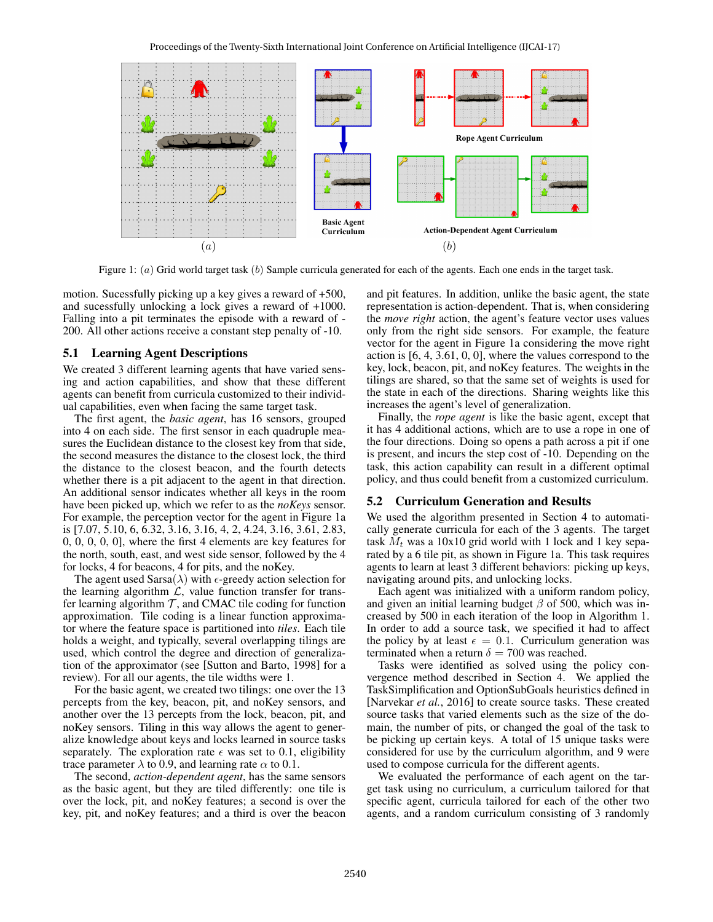

Figure 1: (a) Grid world target task (b) Sample curricula generated for each of the agents. Each one ends in the target task.

motion. Sucessfully picking up a key gives a reward of +500, and sucessfully unlocking a lock gives a reward of +1000. Falling into a pit terminates the episode with a reward of - 200. All other actions receive a constant step penalty of -10.

#### 5.1 Learning Agent Descriptions

We created 3 different learning agents that have varied sensing and action capabilities, and show that these different agents can benefit from curricula customized to their individual capabilities, even when facing the same target task.

The first agent, the *basic agent*, has 16 sensors, grouped into 4 on each side. The first sensor in each quadruple measures the Euclidean distance to the closest key from that side, the second measures the distance to the closest lock, the third the distance to the closest beacon, and the fourth detects whether there is a pit adjacent to the agent in that direction. An additional sensor indicates whether all keys in the room have been picked up, which we refer to as the *noKeys* sensor. For example, the perception vector for the agent in Figure 1a is [7.07, 5.10, 6, 6.32, 3.16, 3.16, 4, 2, 4.24, 3.16, 3.61, 2.83, 0, 0, 0, 0, 0], where the first 4 elements are key features for the north, south, east, and west side sensor, followed by the 4 for locks, 4 for beacons, 4 for pits, and the noKey.

The agent used Sarsa( $\lambda$ ) with  $\epsilon$ -greedy action selection for the learning algorithm  $\mathcal{L}$ , value function transfer for transfer learning algorithm  $\mathcal T$ , and CMAC tile coding for function approximation. Tile coding is a linear function approximator where the feature space is partitioned into *tiles*. Each tile holds a weight, and typically, several overlapping tilings are used, which control the degree and direction of generalization of the approximator (see [Sutton and Barto, 1998] for a review). For all our agents, the tile widths were 1.

For the basic agent, we created two tilings: one over the 13 percepts from the key, beacon, pit, and noKey sensors, and another over the 13 percepts from the lock, beacon, pit, and noKey sensors. Tiling in this way allows the agent to generalize knowledge about keys and locks learned in source tasks separately. The exploration rate  $\epsilon$  was set to 0.1, eligibility trace parameter  $\lambda$  to 0.9, and learning rate  $\alpha$  to 0.1.

The second, *action-dependent agent*, has the same sensors as the basic agent, but they are tiled differently: one tile is over the lock, pit, and noKey features; a second is over the key, pit, and noKey features; and a third is over the beacon and pit features. In addition, unlike the basic agent, the state representation is action-dependent. That is, when considering the *move right* action, the agent's feature vector uses values only from the right side sensors. For example, the feature vector for the agent in Figure 1a considering the move right action is [6, 4, 3.61, 0, 0], where the values correspond to the key, lock, beacon, pit, and noKey features. The weights in the tilings are shared, so that the same set of weights is used for the state in each of the directions. Sharing weights like this increases the agent's level of generalization.

Finally, the *rope agent* is like the basic agent, except that it has 4 additional actions, which are to use a rope in one of the four directions. Doing so opens a path across a pit if one is present, and incurs the step cost of -10. Depending on the task, this action capability can result in a different optimal policy, and thus could benefit from a customized curriculum.

## 5.2 Curriculum Generation and Results

We used the algorithm presented in Section 4 to automatically generate curricula for each of the 3 agents. The target task  $M_t$  was a 10x10 grid world with 1 lock and 1 key separated by a 6 tile pit, as shown in Figure 1a. This task requires agents to learn at least 3 different behaviors: picking up keys, navigating around pits, and unlocking locks.

Each agent was initialized with a uniform random policy, and given an initial learning budget  $\beta$  of 500, which was increased by 500 in each iteration of the loop in Algorithm 1. In order to add a source task, we specified it had to affect the policy by at least  $\epsilon = 0.1$ . Curriculum generation was terminated when a return  $\delta = 700$  was reached.

Tasks were identified as solved using the policy convergence method described in Section 4. We applied the TaskSimplification and OptionSubGoals heuristics defined in [Narvekar *et al.*, 2016] to create source tasks. These created source tasks that varied elements such as the size of the domain, the number of pits, or changed the goal of the task to be picking up certain keys. A total of 15 unique tasks were considered for use by the curriculum algorithm, and 9 were used to compose curricula for the different agents.

We evaluated the performance of each agent on the target task using no curriculum, a curriculum tailored for that specific agent, curricula tailored for each of the other two agents, and a random curriculum consisting of 3 randomly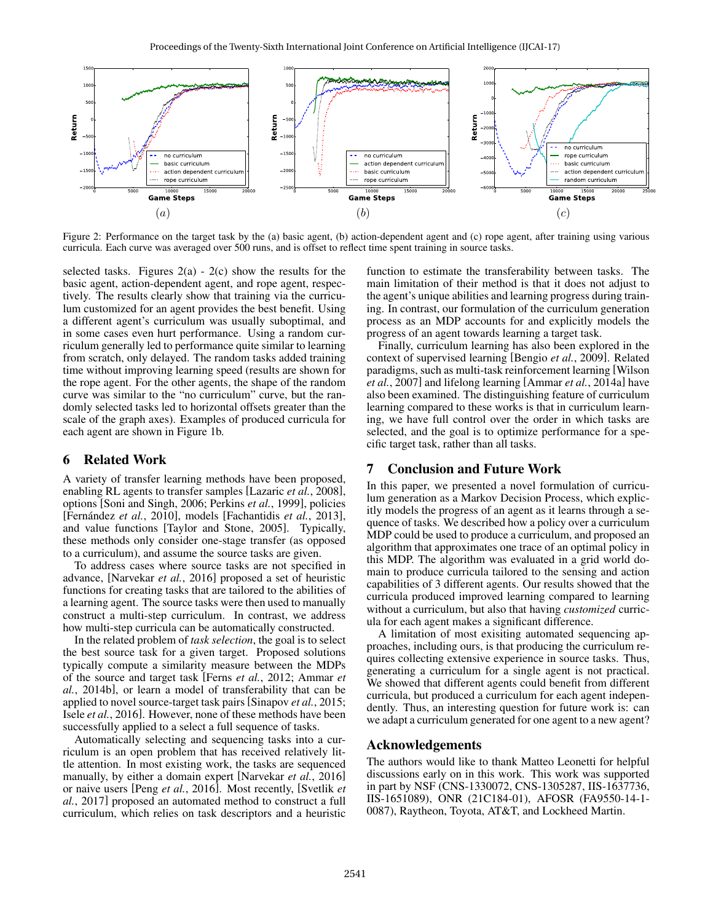

Figure 2: Performance on the target task by the (a) basic agent, (b) action-dependent agent and (c) rope agent, after training using various curricula. Each curve was averaged over 500 runs, and is offset to reflect time spent training in source tasks.

selected tasks. Figures  $2(a) - 2(c)$  show the results for the basic agent, action-dependent agent, and rope agent, respectively. The results clearly show that training via the curriculum customized for an agent provides the best benefit. Using a different agent's curriculum was usually suboptimal, and in some cases even hurt performance. Using a random curriculum generally led to performance quite similar to learning from scratch, only delayed. The random tasks added training time without improving learning speed (results are shown for the rope agent. For the other agents, the shape of the random curve was similar to the "no curriculum" curve, but the randomly selected tasks led to horizontal offsets greater than the scale of the graph axes). Examples of produced curricula for each agent are shown in Figure 1b.

## 6 Related Work

A variety of transfer learning methods have been proposed, enabling RL agents to transfer samples [Lazaric *et al.*, 2008], options [Soni and Singh, 2006; Perkins *et al.*, 1999], policies [Fernández *et al.*, 2010], models [Fachantidis *et al.*, 2013], and value functions [Taylor and Stone, 2005]. Typically, these methods only consider one-stage transfer (as opposed to a curriculum), and assume the source tasks are given.

To address cases where source tasks are not specified in advance, [Narvekar *et al.*, 2016] proposed a set of heuristic functions for creating tasks that are tailored to the abilities of a learning agent. The source tasks were then used to manually construct a multi-step curriculum. In contrast, we address how multi-step curricula can be automatically constructed.

In the related problem of *task selection*, the goal is to select the best source task for a given target. Proposed solutions typically compute a similarity measure between the MDPs of the source and target task [Ferns *et al.*, 2012; Ammar *et al.*, 2014b], or learn a model of transferability that can be applied to novel source-target task pairs [Sinapov *et al.*, 2015; Isele *et al.*, 2016]. However, none of these methods have been successfully applied to a select a full sequence of tasks.

Automatically selecting and sequencing tasks into a curriculum is an open problem that has received relatively little attention. In most existing work, the tasks are sequenced manually, by either a domain expert [Narvekar *et al.*, 2016] or naive users [Peng *et al.*, 2016]. Most recently, [Svetlik *et al.*, 2017] proposed an automated method to construct a full curriculum, which relies on task descriptors and a heuristic function to estimate the transferability between tasks. The main limitation of their method is that it does not adjust to the agent's unique abilities and learning progress during training. In contrast, our formulation of the curriculum generation process as an MDP accounts for and explicitly models the progress of an agent towards learning a target task.

Finally, curriculum learning has also been explored in the context of supervised learning [Bengio *et al.*, 2009]. Related paradigms, such as multi-task reinforcement learning [Wilson *et al.*, 2007] and lifelong learning [Ammar *et al.*, 2014a] have also been examined. The distinguishing feature of curriculum learning compared to these works is that in curriculum learning, we have full control over the order in which tasks are selected, and the goal is to optimize performance for a specific target task, rather than all tasks.

## 7 Conclusion and Future Work

In this paper, we presented a novel formulation of curriculum generation as a Markov Decision Process, which explicitly models the progress of an agent as it learns through a sequence of tasks. We described how a policy over a curriculum MDP could be used to produce a curriculum, and proposed an algorithm that approximates one trace of an optimal policy in this MDP. The algorithm was evaluated in a grid world domain to produce curricula tailored to the sensing and action capabilities of 3 different agents. Our results showed that the curricula produced improved learning compared to learning without a curriculum, but also that having *customized* curricula for each agent makes a significant difference.

A limitation of most exisiting automated sequencing approaches, including ours, is that producing the curriculum requires collecting extensive experience in source tasks. Thus, generating a curriculum for a single agent is not practical. We showed that different agents could benefit from different curricula, but produced a curriculum for each agent independently. Thus, an interesting question for future work is: can we adapt a curriculum generated for one agent to a new agent?

# Acknowledgements

The authors would like to thank Matteo Leonetti for helpful discussions early on in this work. This work was supported in part by NSF (CNS-1330072, CNS-1305287, IIS-1637736, IIS-1651089), ONR (21C184-01), AFOSR (FA9550-14-1- 0087), Raytheon, Toyota, AT&T, and Lockheed Martin.